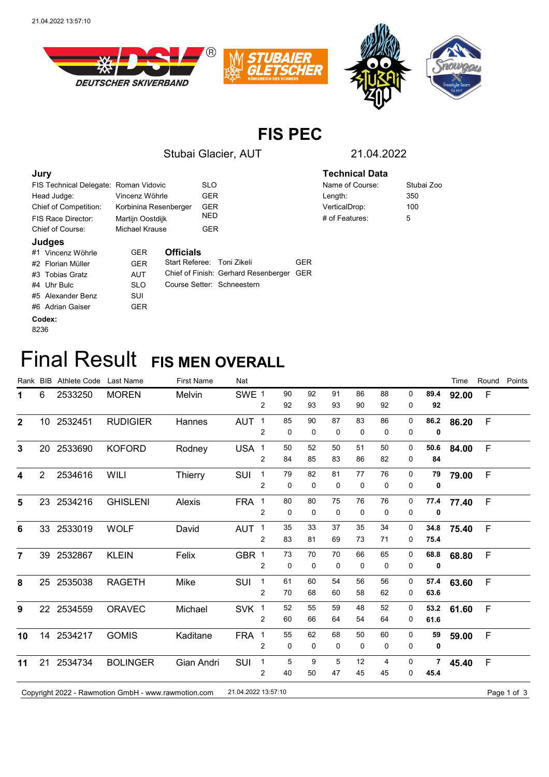

## **FIS PEC**

Stubai Glacier, AUT 21.04.2022

| Jury                                           |            |                  |            |                                          |     | <b>Technical Data</b> |            |  |  |
|------------------------------------------------|------------|------------------|------------|------------------------------------------|-----|-----------------------|------------|--|--|
| FIS Technical Delegate: Roman Vidovic          |            |                  |            | <b>SLO</b>                               |     | Name of Course:       | Stubai Zoo |  |  |
| Vincenz Wöhrle<br>Head Judge:                  |            |                  | <b>GER</b> |                                          |     | Length:               | 350        |  |  |
| Chief of Competition:<br>Korbinina Resenberger |            |                  | <b>GER</b> |                                          |     | VerticalDrop:         | 100        |  |  |
| Martijn Oostdijk<br>FIS Race Director:         |            |                  | <b>NED</b> |                                          |     | # of Features:        | 5          |  |  |
| Chief of Course:<br>Michael Krause             |            |                  | <b>GER</b> |                                          |     |                       |            |  |  |
| Judges                                         |            |                  |            |                                          |     |                       |            |  |  |
| #1 Vincenz Wöhrle                              | <b>GER</b> | <b>Officials</b> |            |                                          |     |                       |            |  |  |
| #2 Florian Müller                              | <b>GER</b> | Start Referee:   |            | Toni Zikeli                              | GER |                       |            |  |  |
| #3 Tobias Gratz                                | <b>AUT</b> |                  |            | Chief of Finish: Gerhard Resenberger GER |     |                       |            |  |  |
| #4 Uhr Bulc                                    | <b>SLO</b> |                  |            | Course Setter: Schneestern               |     |                       |            |  |  |

## **Codex:**

#5 Alexander Benz SUI #6 Adrian Gaiser GER

8236

## **Final Result FIS MEN OVERALL**

|                |                | Rank BIB Athlete Code Last Name |                                                     | <b>First Name</b> | Nat                 |                |    |    |    |    |    |              |      | Time  | Round        | Points      |
|----------------|----------------|---------------------------------|-----------------------------------------------------|-------------------|---------------------|----------------|----|----|----|----|----|--------------|------|-------|--------------|-------------|
| 1              | 6              | 2533250                         | <b>MOREN</b>                                        | Melvin            | SWE 1               |                | 90 | 92 | 91 | 86 | 88 | 0            | 89.4 | 92.00 | F            |             |
|                |                |                                 |                                                     |                   |                     | 2              | 92 | 93 | 93 | 90 | 92 | 0            | 92   |       |              |             |
| $\mathbf{2}$   |                | 10 2532451                      | <b>RUDIGIER</b>                                     | Hannes            | AUT <sub>1</sub>    |                | 85 | 90 | 87 | 83 | 86 | $\mathbf{0}$ | 86.2 | 86.20 | $\mathsf{F}$ |             |
|                |                |                                 |                                                     |                   |                     | 2              | 0  | 0  | 0  | 0  | 0  | 0            | 0    |       |              |             |
| $\mathbf{3}$   |                | 20 2533690                      | <b>KOFORD</b>                                       | Rodney            | USA 1               |                | 50 | 52 | 50 | 51 | 50 | 0            | 50.6 | 84.00 | $\mathsf{F}$ |             |
|                |                |                                 |                                                     |                   |                     | $\overline{2}$ | 84 | 85 | 83 | 86 | 82 | 0            | 84   |       |              |             |
| 4              | $\overline{2}$ | 2534616                         | WILI                                                | <b>Thierry</b>    | SUI                 | $\mathbf{1}$   | 79 | 82 | 81 | 77 | 76 | 0            | 79   | 79.00 | $\mathsf{F}$ |             |
|                |                |                                 |                                                     |                   |                     | $\overline{2}$ | 0  | 0  | 0  | 0  | 0  | 0            | 0    |       |              |             |
| 5              |                | 23 2534216                      | <b>GHISLENI</b>                                     | Alexis            | FRA 1               |                | 80 | 80 | 75 | 76 | 76 | 0            | 77.4 | 77.40 | F            |             |
|                |                |                                 |                                                     |                   |                     | $\overline{2}$ | 0  | 0  | 0  | 0  | 0  | 0            | 0    |       |              |             |
| 6              |                | 33 2533019                      | <b>WOLF</b>                                         | David             | AUT <sub>1</sub>    |                | 35 | 33 | 37 | 35 | 34 | 0            | 34.8 | 75.40 | F            |             |
|                |                |                                 |                                                     |                   |                     | $\overline{2}$ | 83 | 81 | 69 | 73 | 71 | 0            | 75.4 |       |              |             |
| $\overline{7}$ |                | 39 2532867                      | <b>KLEIN</b>                                        | Felix             | GBR 1               |                | 73 | 70 | 70 | 66 | 65 | 0            | 68.8 | 68.80 | $\mathsf{F}$ |             |
|                |                |                                 |                                                     |                   |                     | $\overline{2}$ | 0  | 0  | 0  | 0  | 0  | 0            | 0    |       |              |             |
| 8              |                | 25 2535038                      | <b>RAGETH</b>                                       | Mike              | SUI                 | $\overline{1}$ | 61 | 60 | 54 | 56 | 56 | 0            | 57.4 | 63.60 | F            |             |
|                |                |                                 |                                                     |                   |                     | $\overline{2}$ | 70 | 68 | 60 | 58 | 62 | 0            | 63.6 |       |              |             |
| 9              |                | 22 2534559                      | <b>ORAVEC</b>                                       | Michael           | SVK 1               |                | 52 | 55 | 59 | 48 | 52 | 0            | 53.2 | 61.60 | $\mathsf{F}$ |             |
|                |                |                                 |                                                     |                   |                     | $\overline{2}$ | 60 | 66 | 64 | 54 | 64 | 0            | 61.6 |       |              |             |
| 10             |                | 14 2534217                      | <b>GOMIS</b>                                        | Kaditane          | FRA 1               |                | 55 | 62 | 68 | 50 | 60 | 0            | 59   | 59.00 | F            |             |
|                |                |                                 |                                                     |                   |                     | 2              | 0  | 0  | 0  | 0  | 0  | 0            | 0    |       |              |             |
| 11             |                | 21 2534734                      | <b>BOLINGER</b>                                     | Gian Andri        | SUI                 | $\mathbf 1$    | 5  | 9  | 5  | 12 | 4  | 0            | 7    | 45.40 | $\mathsf{F}$ |             |
|                |                |                                 |                                                     |                   |                     | $\overline{c}$ | 40 | 50 | 47 | 45 | 45 | 0            | 45.4 |       |              |             |
|                |                |                                 | Copyright 2022 - Rawmotion GmbH - www.rawmotion.com |                   | 21.04.2022 13:57:10 |                |    |    |    |    |    |              |      |       |              | Page 1 of 3 |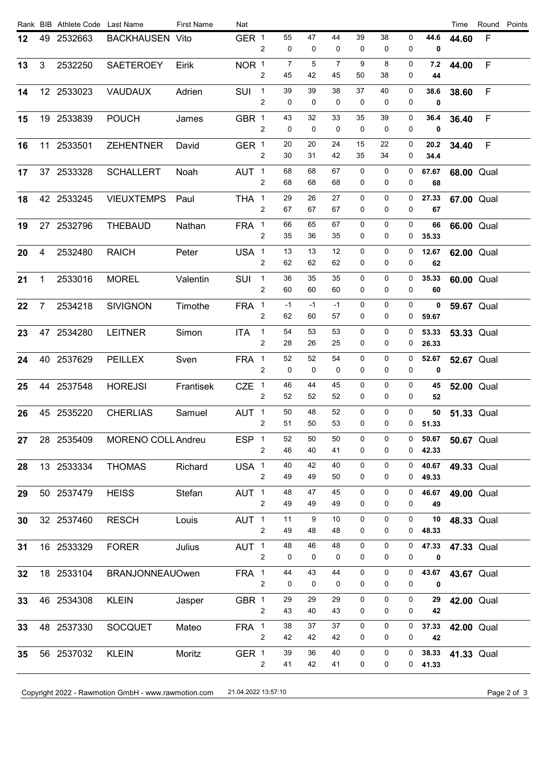|                |         | Rank BIB Athlete Code Last Name                                                                                                                                                                                                                                                                   | <b>First Name</b> | Nat                                                                           |                |                                                                                                                                                                                                                                                                                                                                     |          |            |                |          |                              |                     | Time                                                  |             | Round Points                                                                                                                                                                                                                                                                                                                                                                     |
|----------------|---------|---------------------------------------------------------------------------------------------------------------------------------------------------------------------------------------------------------------------------------------------------------------------------------------------------|-------------------|-------------------------------------------------------------------------------|----------------|-------------------------------------------------------------------------------------------------------------------------------------------------------------------------------------------------------------------------------------------------------------------------------------------------------------------------------------|----------|------------|----------------|----------|------------------------------|---------------------|-------------------------------------------------------|-------------|----------------------------------------------------------------------------------------------------------------------------------------------------------------------------------------------------------------------------------------------------------------------------------------------------------------------------------------------------------------------------------|
|                |         |                                                                                                                                                                                                                                                                                                   |                   |                                                                               | 2              | 55<br>0                                                                                                                                                                                                                                                                                                                             | 47<br>0  | 44<br>0    | 39<br>0        | 38<br>0  | 0<br>0                       | 44.6<br>0           | 44.60                                                 | F           |                                                                                                                                                                                                                                                                                                                                                                                  |
| 3 <sup>1</sup> | 2532250 | SAETEROEY                                                                                                                                                                                                                                                                                         | Eirik             |                                                                               | $\overline{2}$ | 7<br>45                                                                                                                                                                                                                                                                                                                             | 5<br>42  | 7<br>45    | 9<br>50        | 8<br>38  | 0<br>0                       | 7.2<br>44           |                                                       | $\mathsf F$ |                                                                                                                                                                                                                                                                                                                                                                                  |
|                |         | <b>VAUDAUX</b>                                                                                                                                                                                                                                                                                    | Adrien            |                                                                               | $\overline{2}$ | 39<br>0                                                                                                                                                                                                                                                                                                                             | 39<br>0  | 38<br>0    | 37<br>0        | 40<br>0  | 0<br>0                       | 38.6<br>$\mathbf 0$ |                                                       | F           |                                                                                                                                                                                                                                                                                                                                                                                  |
|                |         | <b>POUCH</b>                                                                                                                                                                                                                                                                                      | James             |                                                                               | 2              | 43<br>0                                                                                                                                                                                                                                                                                                                             | 32<br>0  | 33<br>0    | 35<br>0        | 39<br>0  | 0<br>0                       | 36.4<br>0           |                                                       | $\mathsf F$ |                                                                                                                                                                                                                                                                                                                                                                                  |
|                |         | <b>ZEHENTNER</b>                                                                                                                                                                                                                                                                                  | David             |                                                                               | 2              | 20<br>30                                                                                                                                                                                                                                                                                                                            | 20<br>31 | 24<br>42   | 15<br>35       | 22<br>34 | 0<br>0                       | 20.2<br>34.4        |                                                       | $\mathsf F$ |                                                                                                                                                                                                                                                                                                                                                                                  |
|                |         | <b>SCHALLERT</b>                                                                                                                                                                                                                                                                                  | Noah              |                                                                               | $\overline{2}$ | 68<br>68                                                                                                                                                                                                                                                                                                                            | 68<br>68 | 67<br>68   | 0<br>0         | 0<br>0   | 0<br>0                       | 67.67<br>68         |                                                       |             |                                                                                                                                                                                                                                                                                                                                                                                  |
|                |         | <b>VIEUXTEMPS</b>                                                                                                                                                                                                                                                                                 | Paul              |                                                                               | $\overline{2}$ | 29<br>67                                                                                                                                                                                                                                                                                                                            | 26<br>67 | 27<br>67   | 0<br>0         | 0<br>0   | 0<br>0                       | 27.33<br>67         |                                                       |             |                                                                                                                                                                                                                                                                                                                                                                                  |
|                |         | <b>THEBAUD</b>                                                                                                                                                                                                                                                                                    | Nathan            |                                                                               | $\overline{2}$ | 66<br>35                                                                                                                                                                                                                                                                                                                            | 65<br>36 | 67<br>35   | 0<br>0         | 0<br>0   | 0<br>0                       | 66                  |                                                       |             |                                                                                                                                                                                                                                                                                                                                                                                  |
| $\overline{4}$ | 2532480 | <b>RAICH</b>                                                                                                                                                                                                                                                                                      | Peter             |                                                                               |                | 13                                                                                                                                                                                                                                                                                                                                  | 13       | 12         | 0              | 0        | 0                            | 12.67               |                                                       |             |                                                                                                                                                                                                                                                                                                                                                                                  |
| 1              | 2533016 | <b>MOREL</b>                                                                                                                                                                                                                                                                                      | Valentin          |                                                                               |                | 36                                                                                                                                                                                                                                                                                                                                  | 35       | 35         | 0              | 0        | 0<br>0                       | 35.33               |                                                       |             |                                                                                                                                                                                                                                                                                                                                                                                  |
|                |         | <b>SIVIGNON</b>                                                                                                                                                                                                                                                                                   | Timothe           |                                                                               | 2              | $-1$<br>62                                                                                                                                                                                                                                                                                                                          | -1<br>60 | $-1$<br>57 | 0<br>0         | 0<br>0   | 0<br>0                       | 0                   |                                                       |             |                                                                                                                                                                                                                                                                                                                                                                                  |
|                |         | <b>LEITNER</b>                                                                                                                                                                                                                                                                                    | Simon             | <b>ITA</b>                                                                    | 2              | 54<br>28                                                                                                                                                                                                                                                                                                                            | 53<br>26 | 53<br>25   | 0<br>0         | 0<br>0   | 0<br>0                       | 53.33               |                                                       |             |                                                                                                                                                                                                                                                                                                                                                                                  |
|                |         | <b>PEILLEX</b>                                                                                                                                                                                                                                                                                    | Sven              |                                                                               | 2              | 52<br>0                                                                                                                                                                                                                                                                                                                             | 52<br>0  | 54<br>0    | 0<br>0         | 0<br>0   | 0<br>0                       | 52.67<br>0          |                                                       |             |                                                                                                                                                                                                                                                                                                                                                                                  |
|                |         | <b>HOREJSI</b>                                                                                                                                                                                                                                                                                    | Frantisek         |                                                                               | 2              | 46<br>52                                                                                                                                                                                                                                                                                                                            | 44<br>52 | 45<br>52   | 0<br>0         | 0<br>0   | 0<br>0                       | 45<br>52            |                                                       |             |                                                                                                                                                                                                                                                                                                                                                                                  |
|                |         | <b>CHERLIAS</b>                                                                                                                                                                                                                                                                                   | Samuel            |                                                                               | $\overline{2}$ | 50<br>51                                                                                                                                                                                                                                                                                                                            | 48<br>50 | 52<br>53   | 0<br>0         | 0<br>0   | 0<br>0                       | 50<br>51.33         |                                                       |             |                                                                                                                                                                                                                                                                                                                                                                                  |
|                |         |                                                                                                                                                                                                                                                                                                   |                   |                                                                               | $\overline{c}$ | 52<br>46                                                                                                                                                                                                                                                                                                                            | 50<br>40 | 50<br>41   | 0<br>0         | 0<br>0   | 0<br>0                       |                     |                                                       |             |                                                                                                                                                                                                                                                                                                                                                                                  |
|                |         | THOMAS                                                                                                                                                                                                                                                                                            | Richard           |                                                                               | $\overline{2}$ | 40<br>49                                                                                                                                                                                                                                                                                                                            | 42<br>49 | 40<br>50   | 0<br>0         | 0<br>0   | 0<br>0                       | 40.67<br>49.33      |                                                       |             |                                                                                                                                                                                                                                                                                                                                                                                  |
|                |         | <b>HEISS</b>                                                                                                                                                                                                                                                                                      | Stefan            |                                                                               | $\overline{2}$ | 48<br>49                                                                                                                                                                                                                                                                                                                            | 47<br>49 | 45<br>49   | 0<br>0         | 0<br>0   | 0<br>0                       | 46.67<br>49         |                                                       |             |                                                                                                                                                                                                                                                                                                                                                                                  |
|                |         | <b>RESCH</b>                                                                                                                                                                                                                                                                                      | Louis             |                                                                               | 2              | 11<br>49                                                                                                                                                                                                                                                                                                                            | 9<br>48  | 10<br>48   | 0<br>0         | 0<br>0   | 0<br>0                       | 10<br>48.33         |                                                       |             |                                                                                                                                                                                                                                                                                                                                                                                  |
|                |         | <b>FORER</b>                                                                                                                                                                                                                                                                                      | Julius            |                                                                               | $\overline{c}$ | 48<br>0                                                                                                                                                                                                                                                                                                                             | 46<br>0  | 48<br>0    | 0<br>0         | 0<br>0   | 0<br>0                       | 47.33<br>0          |                                                       |             |                                                                                                                                                                                                                                                                                                                                                                                  |
|                |         |                                                                                                                                                                                                                                                                                                   |                   |                                                                               | $\overline{2}$ | 44<br>0                                                                                                                                                                                                                                                                                                                             | 43<br>0  | 44<br>0    | $\pmb{0}$<br>0 | 0<br>0   | 0<br>0                       | 43.67<br>0          |                                                       |             |                                                                                                                                                                                                                                                                                                                                                                                  |
|                |         | <b>KLEIN</b>                                                                                                                                                                                                                                                                                      | Jasper            |                                                                               | $\overline{c}$ | 29<br>43                                                                                                                                                                                                                                                                                                                            | 29<br>40 | 29<br>43   | 0<br>0         | 0<br>0   | 0<br>0                       | 29<br>42            |                                                       |             |                                                                                                                                                                                                                                                                                                                                                                                  |
|                |         | <b>SOCQUET</b>                                                                                                                                                                                                                                                                                    | Mateo             |                                                                               | $\overline{2}$ | 38<br>42                                                                                                                                                                                                                                                                                                                            | 37<br>42 | 37<br>42   | 0<br>0         | 0<br>0   | 0<br>0                       | 37.33<br>42         |                                                       |             |                                                                                                                                                                                                                                                                                                                                                                                  |
|                |         | <b>KLEIN</b>                                                                                                                                                                                                                                                                                      | Moritz            |                                                                               | $\overline{2}$ | 39<br>41                                                                                                                                                                                                                                                                                                                            | 36<br>42 | 40<br>41   | 0<br>0         | 0<br>0   | $\mathbf{0}$<br>$\mathbf{0}$ | 38.33<br>41.33      |                                                       |             |                                                                                                                                                                                                                                                                                                                                                                                  |
|                |         | 49 2532663<br>12 2533023<br>19 2533839<br>11 2533501<br>37 2533328<br>42 2533245<br>27 2532796<br>7 2534218<br>47 2534280<br>40 2537629<br>44 2537548<br>45 2535220<br>28 2535409<br>13 2533334<br>50 2537479<br>32 2537460<br>16 2533329<br>18 2533104<br>46 2534308<br>48 2537330<br>56 2537032 |                   | <b>BACKHAUSEN Vito</b><br><b>MORENO COLL Andreu</b><br><b>BRANJONNEAUOwen</b> |                | GER 1<br>NOR 1<br>SUI <sub>1</sub><br>GBR 1<br>GER 1<br>AUT <sub>1</sub><br>THA 1<br>FRA 1<br>USA 1<br>$\overline{2}$<br>SUI <sub>1</sub><br>2<br>FRA 1<br>$\overline{1}$<br>FRA 1<br>$CZE$ 1<br>AUT <sub>1</sub><br>ESP 1<br>USA 1<br>AUT <sub>1</sub><br>AUT <sub>1</sub><br>AUT <sub>1</sub><br>FRA 1<br>GBR 1<br>FRA 1<br>GER 1 | 62<br>60 | 62<br>60   | 62<br>60       | 0<br>0   | 0<br>0                       | 0                   | 35.33<br>62<br>60<br>59.67<br>26.33<br>50.67<br>42.33 |             | 44.00<br>38.60<br>36.40<br>34.40<br><b>68.00 Qual</b><br><b>67.00 Qual</b><br>66.00 Qual<br><b>62.00 Qual</b><br><b>60.00 Qual</b><br><b>59.67 Qual</b><br><b>53.33 Qual</b><br><b>52.67 Qual</b><br><b>52.00 Qual</b><br><b>51.33 Qual</b><br><b>50.67 Qual</b><br>49.33 Qual<br>49.00 Qual<br>48.33 Qual<br>47.33 Qual<br>43.67 Qual<br>42.00 Qual<br>42.00 Qual<br>41.33 Qual |

Copyright 2022 - Rawmotion GmbH - www.rawmotion.com 21.04.2022 13:57:10 Page 2 of 3